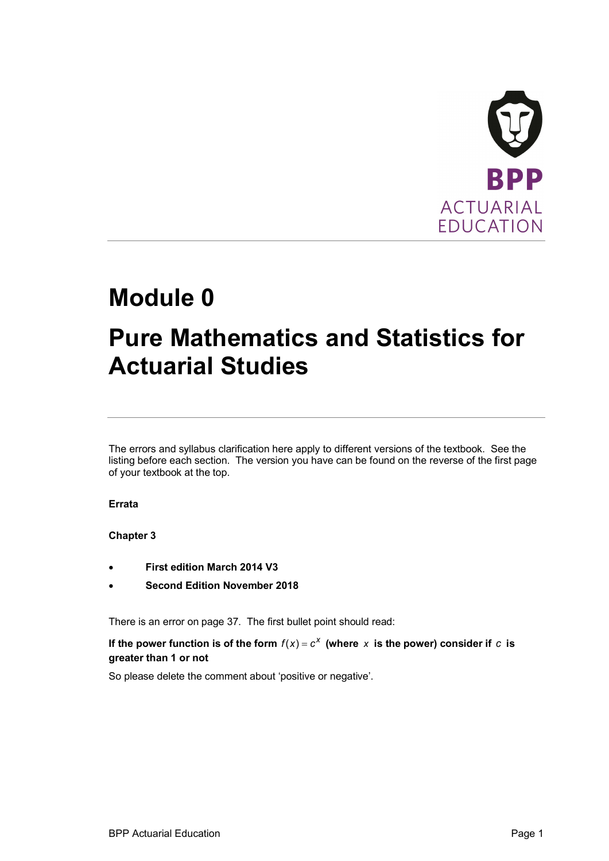

# **Module 0**

## **Pure Mathematics and Statistics for Actuarial Studies**

The errors and syllabus clarification here apply to different versions of the textbook. See the listing before each section. The version you have can be found on the reverse of the first page of your textbook at the top.

## **Errata**

## **Chapter 3**

- · **First edition March 2014 V3**
- **Second Edition November 2018**

There is an error on page 37. The first bullet point should read:

If the power function is of the form  $f(x) = c^x$  (where  $x$  is the power) consider if  $c$  is **greater than 1 or not**

So please delete the comment about 'positive or negative'.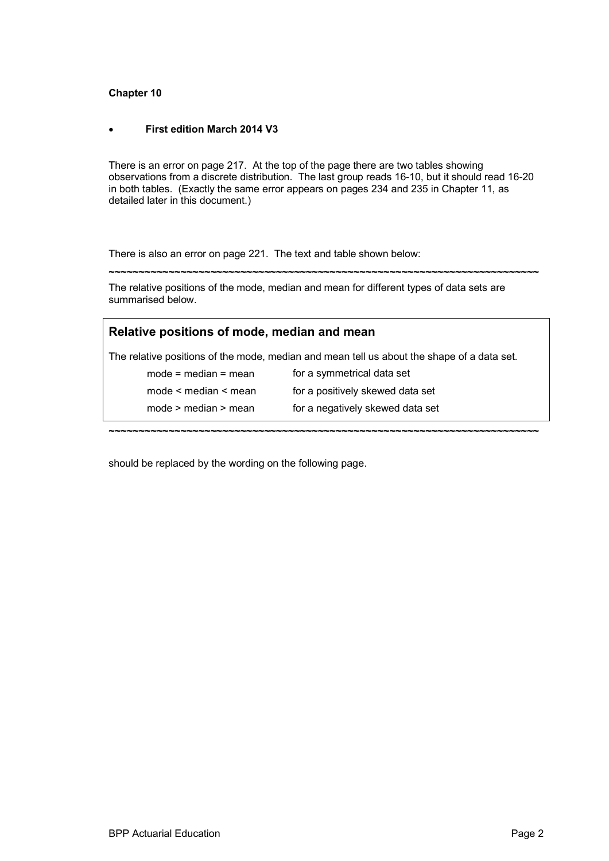## **Chapter 10**

## · **First edition March 2014 V3**

There is an error on page 217. At the top of the page there are two tables showing observations from a discrete distribution. The last group reads 16-10, but it should read 16-20 in both tables. (Exactly the same error appears on pages 234 and 235 in Chapter 11, as detailed later in this document.)

There is also an error on page 221. The text and table shown below:

**~~~~~~~~~~~~~~~~~~~~~~~~~~~~~~~~~~~~~~~~~~~~~~~~~~~~~~~~~~~~~~~~~~~~~~~~**

The relative positions of the mode, median and mean for different types of data sets are summarised below.

| Relative positions of mode, median and mean                                                |                                  |
|--------------------------------------------------------------------------------------------|----------------------------------|
| The relative positions of the mode, median and mean tell us about the shape of a data set. |                                  |
| $mode = median = mean$                                                                     | for a symmetrical data set       |
| mode $\leq$ median $\leq$ mean                                                             | for a positively skewed data set |
| $mode$ > median > mean                                                                     | for a negatively skewed data set |
|                                                                                            |                                  |

should be replaced by the wording on the following page.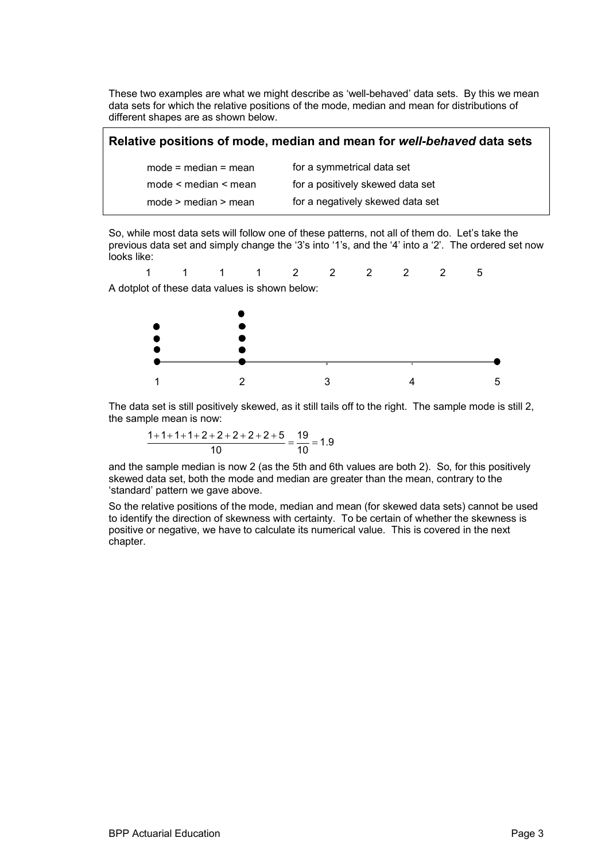These two examples are what we might describe as 'well-behaved' data sets. By this we mean data sets for which the relative positions of the mode, median and mean for distributions of different shapes are as shown below.

| Relative positions of mode, median and mean for well-behaved data sets |                                  |
|------------------------------------------------------------------------|----------------------------------|
| $mode = median = mean$                                                 | for a symmetrical data set       |
| mode < median < mean                                                   | for a positively skewed data set |
| $mode$ > median > mean                                                 | for a negatively skewed data set |

So, while most data sets will follow one of these patterns, not all of them do. Let's take the previous data set and simply change the '3's into '1's, and the '4' into a '2'. The ordered set now looks like:

$$
1 \qquad 1 \qquad 1 \qquad 1 \qquad 2 \qquad 2 \qquad 2 \qquad 2 \qquad 5
$$
  
A dotplot of these data values is shown below:



The data set is still positively skewed, as it still tails off to the right. The sample mode is still 2, the sample mean is now:

$$
\frac{1+1+1+1+2+2+2+2+2+5}{10} = \frac{19}{10} = 1.9
$$

and the sample median is now 2 (as the 5th and 6th values are both 2). So, for this positively skewed data set, both the mode and median are greater than the mean, contrary to the 'standard' pattern we gave above.

So the relative positions of the mode, median and mean (for skewed data sets) cannot be used to identify the direction of skewness with certainty. To be certain of whether the skewness is positive or negative, we have to calculate its numerical value. This is covered in the next chapter.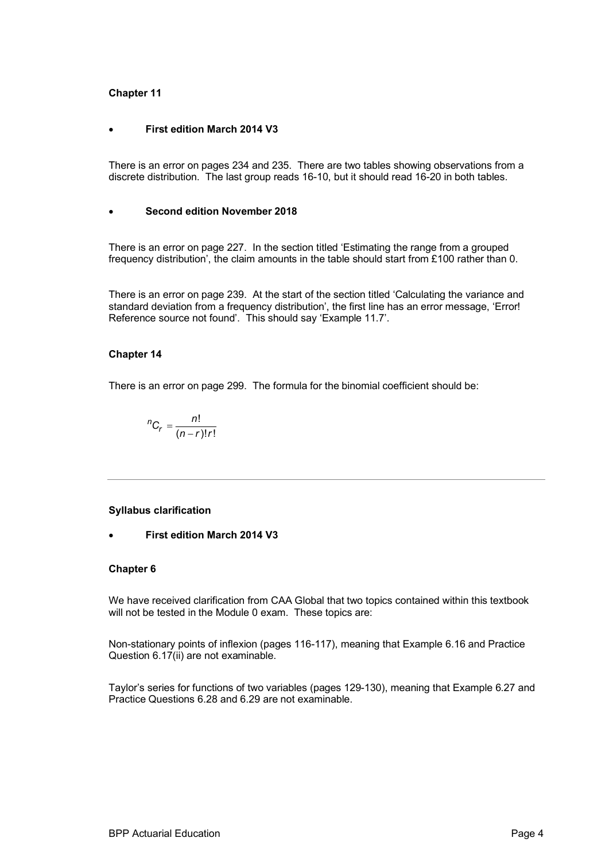## **Chapter 11**

#### · **First edition March 2014 V3**

There is an error on pages 234 and 235. There are two tables showing observations from a discrete distribution. The last group reads 16-10, but it should read 16-20 in both tables.

#### **Second edition November 2018**

There is an error on page 227. In the section titled 'Estimating the range from a grouped frequency distribution', the claim amounts in the table should start from £100 rather than 0.

There is an error on page 239. At the start of the section titled 'Calculating the variance and standard deviation from a frequency distribution', the first line has an error message, 'Error! Reference source not found'. This should say 'Example 11.7'.

#### **Chapter 14**

There is an error on page 299. The formula for the binomial coefficient should be:

$$
{}^{n}C_{r}=\frac{n!}{(n-r)!r!}
$$

#### **Syllabus clarification**

**First edition March 2014 V3** 

### **Chapter 6**

We have received clarification from CAA Global that two topics contained within this textbook will not be tested in the Module 0 exam. These topics are:

Non-stationary points of inflexion (pages 116-117), meaning that Example 6.16 and Practice Question 6.17(ii) are not examinable.

Taylor's series for functions of two variables (pages 129-130), meaning that Example 6.27 and Practice Questions 6.28 and 6.29 are not examinable.